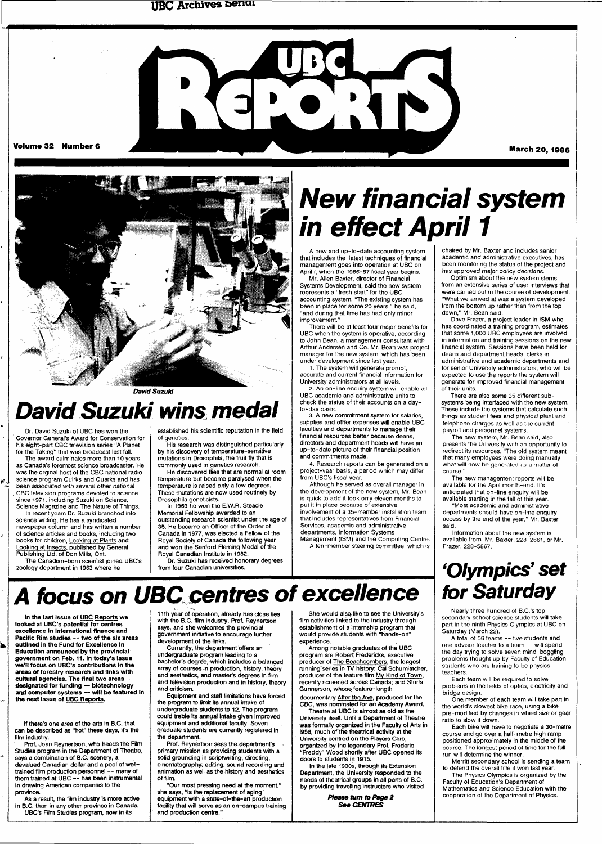### **UBC Archives &enui**





David Suzuki

# **David Suzuki wins medal**

Dr. David Suzuki of UBC has won the Governor General's Award for Conservation for his eight-part CBC television series "A Planet for the Taking" that was broadcast last fall.

The award culminates more than 10 years as Canada's foremost science broadcaster. He was the orginal host of the CBC national radio science program Quirks and Quarks and has been associated with several other national . CBC television programs devoted to science since 1971, including Suzuki on Science, Science Magazine and The Nature of Things.

بم

In recent years Dr. Suzuki branched into science writing. He has a syndicated newspaper column and has written a number of science articles and books, including two books for children, Looking at Plants and Looking at Insects, published by General

Publishing Ltd. of Don Mills, Ont. The Canadian-born scientist joined UBC's zoology department in 1963 where he

In the last Issue of UBC Reports we looked at UBC's potential for centres excellence in international finance and Pacific Rim studies — two of the six areas outlined In the Fund for Excellence In Education announced by the provincial government on Feb. 11. In today's Issue we'll focus on UBC's contributions In the areas of forestry research and links with cultural agencies. The final two areas designated for funding — biotechnology and computer systems — will be featured In

the **next** issue of UBC Reports.

film industry.

established his scientific reputation in the field of genetics. His research was distinguished particularly

by his discovery of temperature-sensitive mutations in Drosophila, the fruit fly that is commonly used in genetics research.

He discovered flies that are normal at room temperature but become paralysed when the temperature is raised only a few degrees. These mutations are now used routinely by

Drosophila geneticists. In 1969 he won the E.W.R. Steacie Memorial Fellowship awarded to an outstanding research scientist under the age of 35. He became an Officer of the Order of Canada in 1977, was elected a Fellow of the Royal Society of Canada the following year and won the Sanford Fleming Medal of the

Royal Canadian institute in 1982. Dr. Suzuki has received honorary degrees from four Canadian universities.

# **New financial system in effect April 1**

A new and up-to-date accounting system that includes the latest techniques of financial management goes into operation at UBC on April I, when the 1986-87 fiscal year begins.

Mr. Allen Baxter, director of Financial Systems Development, said the new system represents a "fresh start" for the UBC accounting system. "The existing system has been in place for some 20 years," he said, "and during that time has had only minor improvement.

There will be at least four major benefits for UBC when the system is operative, according to John Bean, a management consultant with Arthur Andersen and Co. Mr. Bean was project manager for the new system, which has been under development since last year.

1. The system will generate prompt, accurate and current financial information for University administrators at all levels.

2. An on-line enquiry system will enable all UBC academic and administrative units to check the status of their accounts on a dayto-dav basis.

3. A new commitment system for salaries, supplies and other expenses will enable UBC faculties and departments to manage their financial resources better because deans, directors and department heads will have an up-to-date picture of their financial position and commitments made.

4. Research reports can be generated on a project-year basis, a period which may differ from UBC's fiscal year.

Although he served as overall manager in the development of the new system, Mr. Bean is quick to add it took only eleven months to put it in place because of extensive involvement of a 35-member installation team thatincludes representatives from Financial Services, academic and administrative departments, Information Systems

Management (ISM) and the Computing Centre. A ten-member steering committee, which is chaired by Mr. Baxter and includes senior academic and administrative executives, has been monitoring the status of the project and has approved major policy decisions.

Optimism about the new system stems from an extensive series of user interviews that were carried out in the course of development. "What we arrived at was a system developed from the bottom up rather than from the top down," Mr. Bean said.

Dave Frazer, a project leader in ISM who has coordinated a training program, estimates that some 1,000 UBC employees are involved in information and training sessions on the new financial system. Sessions have been held for deans and department heads, clerks in administrative and academic departments and for senior University administrators, who will be expected to use the reports the system will generate for improved financial management of their units.

There are also some 35 different subsystems being interfaced with the new system. These include the systems that calculate such things as student fees and physical plant and telephone charges as Well as the current payroll and personnel systems.

The new system, Mr. Bean said, also presents the University with an opportunity to redirect its resources. "The old system meant that many employees were doing manually what will now be generated as a matter of course."

The new management reports will be available for the April month-end. It's anticipated that on-line enquiry will be available starting in the fall of this year.

"Most academic and administrative departments should have on-line enquiry access by the end of the year," Mr. Baxter said.

Information about the new system is available from Mr. Baxter, 228-2661, or Mr. Frazer, 228-5867.

# **'Olympics' set**  *<u>lor Saturday</u>*

Nearly three hundred of B.C.'s top secondary school science students will take part in the ninth Physics Olympics at UBC on Saturday (March 22).

A total of 56 teams — five students and one advisor teacher to a team -- will spend the day trying to solve seven mind-boggling problems thought up by Faculty of Education students who are training to be physics teachers.

Each team will be required to solve problems in the fields of optics, electricity and bridge design.

One. member of each team will take part in the world's slowest bike race, using a bike pre-modified by changes in wheel size or gear ratio to slow it down.

Each bike will have to negotiate a 30-metre course and go over a half-metre high ramp positioned approximately in the middle of the course. The longest period of time for the full run will determine the winner.

Merritt secondary school is sending a team to defend the overall title it won last year.

The Physics Olympics is organized by the Faculty of Education's Department of Mathematics and Science Education with the cooperation of the Department of Physics.

devalued Canadian dollar and a pool of welltrained film production personnel — many of them trained at UBC -- has been instrumental in drawing American companies to the

If there's one area of the arts in B.C. that can be described as "hot" these days, it's the

Prof. Joan Reynertson, who heads the Film Studies program in the Department of Theatre, says a combination of B.C. scenery, a

province. As a result, the film industry is more active in B.C. than in any other province in Canada.

UBC's Film Studies program, now in its

11th year of operation, already has close ties with the B.C. film industry, Prof. Reynertson says, and she welcomes the provincial government initiative to encourage further development of the links.

**A locus on UBC centres of excellence** 

Currently, the department offers an undergraduate program leading to a bachelor's degree, which includes a balanced array of courses in production, history, theory and aesthetics, and master's degrees in film and television production and in history, theory and criticism.

Equipment and staff limitations have forced the program to limit its annual intake of undergraduate students to 12. The program could treble its annuat intake given improved equipment and additional faculty. Seven graduate students are currently registered in the department.

Prof. Reynertson sees the department's primary mission as providing students with a solid grounding in scriptwriting, directing, cinematography; editing, sound recording and animation as well as the history and aesthetics of film.

"Our most pressing need at the moment," she says, "is the replacement of aging equipment with a state-of-the-art production facility that will serve as an on-campus training and production centre."

She would also, like to see the University's film activities linked to the industry through establishment of a internship program that would provide students with "hands-on" experience.

Among notable graduates of the UBC program are Robert Fredericks, executive producer of The Beachcombers, the longest running series in TV history; Cal Schumiatcher, producer of the feature film My Kind of Town, recently screened across Canada; and Sturla unnerson, whose feature-length

documentary After the Axe, produced for the CBC, was nominated for an Academy Award.

Theatre at UBC is almost as old as the University itself. Until a Department of Theatre was formally organized in the Faculty of Arts in 1958, much of the theatrical activity at the University centred on the Players Club, organized by the legendary Prof. Frederic "Freddy" Wood shortly after UBC opened its doors to students in 1915.

In the late 1930s, through its Extension Department, the University responded to the needs of theatrical groups in all parts of B.C. by providing travelling instructors who visited

> **Please turn to Page 2 See CENTRES**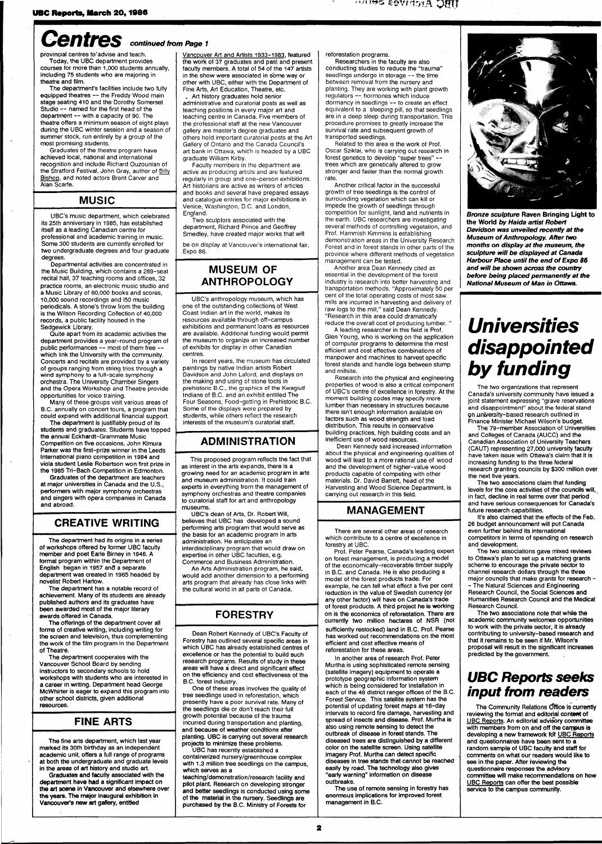# Centres continued from Page 1

provincial centres to'advise and teach. Today, the UBC department provides courses for more than 1,000 students annually, including 75 students who are majoring in theatre and film.

The department's facilities include two fully equipped theatres -- the Freddy Wood main stage seating 410 and the Dorothy Somerset Studio -- named for the first head of the department — with a capacity of 90. The theatre offers a minimum season of eight plays during the UBC winter session and a season of summer stock, run entirely by a group of the most promising students.

Graduates of the theatre program have achieved local, national and international recognition and include Richard Ouzounian of the Stratford Festival, John Gray, author of Billy Bishop, and noted actors Brent Carver and Alan Scarfe.

### **MUSIC**

UBC's music department, which celebrated its 25th anniversary in 1985, has established itself as a leading Canadian centre for professional and academic training in music. Some 300 students are currently enrolled for two undergraduate degrees and four graduate degrees.

Departmental activities are concentrated in the Music Building, which contains a 289-seat recital hall, 37 teaching rooms and offices, 32 practice rooms, an electronic music studio and a Music Library of 60,000 books and scores, 10,000 sound recordings and I50 music periodicals. A stone's throw from the building is the Wilson Recording Collection of 40,000 records, a public facility housed in the Sedgewick Library.

Quite apart from its academic activities the department provides a year-round program of public performances -- most of them free which link the University with the community. Concerts and recitals are provided by a variety of groups ranging from string trios through a wind symphony to a full-scale symphony orchestra. The University Chamber Singers and the Opera Workshop and Theatre provide opportunities for voice training.

Many of these groups visit various areas of B.C. annually on concert tours, a program that could expand with additional financial support.

The department is justifiably proud of its students and graduates. Students have topped the annual Eckhardt-Grammate Music Competition on five occasions, John Kimura Parker was the first-prize winner in the Leeds International piano competition in 1984 and viola student Leslie Robertson won first prize in the 1985 Tri-Bach Competition in Edmonton.

Graduates of the department are teachers at major universities in Canada and the U.S., performers with major symphony orchestras and singers with opera companies in Canada and abroad.

### **CREATIVE WRITING**

The department had its origins in a series of workshops offered by former UBC faculty member and poet Earle Birney in 1946. A formal program within the Department of English began in 1957 and a separate department was created in 1965 headed by novelist Robert Harlow.

The department has a notable record of achievement. Many of its students are already published authors and its graduates have been awarded most of the major literary awards offered in Canada.

The offerings of the department cover all forms of creative writing, including writing for the screen and television, thus complementing the work of the film program in the Department of Theatre.

The department cooperates with the Vancouver School Board by sending instructors to secondary schools to hold workshops with students who are interested in a career in writing. Department head George McWhirter is eager to expand this program into other school districts, given additional resources.

### **FINE ARTS**

The fine arts department, which last year marked its 30th birthday as an independent academic unit, offers a full range of programs at both the undergraduate and graduate levels in the areas of art history and studio art.

Graduates **and** faculty associated with the **department have had** a significant impact **on the art scene in Vancouver** and elsewhere over **the years. The** major inaugural exhibition in **Vancouver's new art** gallery, entitled

Vancouver Art and Artists 1933-1983, featured the work of 37 graduates and past and present faculty members. A total of 54 of the 147 artists in the show were associated in some way or other with UBC, either with the Department of Fine Arts, Art Education, Theatre, etc.

. Art history graduates hold senior administrative and curatorial posts as well as teaching positions in every major art and teaching centre in Canada. Five members of the professional staff at the new Vancouver gallery are master's degree graduates and others hold important curatorial posts at the Art Gallery of Ontario and the Canada Council's art bank in Ottawa, which is headed by a UBC graduate William Kirby.

Faculty members in the department are active as producing artists and are featured regularly in group and one-person exhibitions. Art historians are active as writers of articles and books and several have prepared essays and catalogue entries for major exhibitions in Venice, Washington, D.C. and London, England.

Two sculptors associated with the department, Richard Prince and Geoffrey Smedley, have created major works that will be on display at Vancouver's international fair,

Expo 86.

### **MUSEUM OF ANTHROPOLOGY**

UBC's anthropology museum, which has one of the outstanding collections of West Coast Indian art in the world, makes its resources available through off-campus exhibitions and permanent loans as resources are available. Additional funding would permit the museum to organize an increased number of exhibits for display in other Canadian centres.

In recent years, the museum has circulated paintings by native Indian artists Robert Davidson and John Laford, and displays on the making and using of stone tools in prehistoric B.C., the graphics of the Kwagiutl Indians of B.C. and an exhibit entitled The Four Seasons, Food-getting in Prehistoric B.C. Some of the displays were prepared by students, while others reflect the research interests of the museum's curatorial staff.

### **ADMINISTRATION**

This proposed program reflects the fact that as interest in the arts expands, there is a growing need for an academic program in arts and museum administration. It could train experts in everything from the management of symphony orchestras and theatre companies to curatorial staff for art and anthropology museums.

UBC's dean of Arts, Dr. Robert Will, believes that UBC has developed a sound performing arts program that would serve as the basis for an academic program in arts administration. He anticipates an interdisciplinary program that would draw on expertise in other UBC faculties, e.g. Commerce and Business Administration.

An Arts Administration program, he said, would add another dimension to a performing arts program that already has close links with the cultural world in all parts of Canada.

### **FORESTRY**

Dean Robert Kennedy of UBC's Faculty of Forestry has outlined several specific areas in which UBC has already established centres of excellence or has the potential to build such research programs. Results of study in these areas will have a direct and significant effect on the efficiency and cost effectiveness of the B.C. forest industry.

One of these areas involves the quality tree seedlings used in reforestation, which presently have a poor survival rate. Many of the seedlings die or don't reach their full growth potential because of the trauma incurred during transportation and planting, and because of weather conditions after planting. UBC is carrying out several research projects to minimize these problems.

UBC has recently established a containerized nursery/greenhouse complex with 1.3 million tree seedlings on the campus, which serves as a teaching/demonstration/research facility and

pilot plant. Research on developing stronger and better seedlings is conducted using some of the material in the nursery. Seedlings are purchased by the B.C. Ministry of Forests for

reforestation programs.

Researchers in the faculty are also conducting studies to reduce the "trauma" seedlings undergo in storage -- the time between removal from the nursery and planting. They are working with plant growth regulators — hormones which induce dormancy in seedlings — to create an effect equivalent to a sleeping pill, so that seedlings are in a deep sleep during transportation. This procedure promises to greatly increase the survival rate and subsequent growth of transported seedlings.

Related to this area is the work of Prof. Oscar Sziklai, who is carrying out research in forest genetics to develop "super trees" trees which are genetically altered to grow stronger and faster than the normal growth rate.

Another critical factor in the successful growth of tree seedlings is the control of surrounding vegetation which can kill or impede the growth of seedlings through competition for sunlight, land and nutrients in the earth. UBC researchers are investigating several methods of controlling vegetation, and Prof. Hammish Kimmins is establishing demonstration areas in the University Research Forest and in forest stands in other parts of the province where different methods of vegetation management can be tested.

Another area Dean Kennedy cited as essential in the development of the forest industry is research into better harvesting and transportation methods. "Approximately 50 per cent of the total operating costs of most saw mills are incurred in harvesting and delivery of raw logs to the mill," said Dean Kennedy. "Research in this area could dramatically

reduce the overall cost of producing lumber. ' A leading researcher in this field is Prof. Glen Young, who is working on the application of computer programs to determine the most efficient and cost effective combinations of manpower and machines to harvest specific forest stands and handle logs between stump and millsite.

Research into the physical and engineering properties of wood is also a critical component of UBC's centre of excellence in forestry. At the moment building codes may specify more lumber than necessary in structures because there isn't enough information available on factors such as wood strength and load distribution. This results in conservative building practices, high building costs and an inefficient use of wood resources.

Dean Kennedy said increased information about the physical and engineering qualities of wood will lead to a more rational use of wood and the development of higher-value wood products capable of competing with other materials. Dr. David Barrett, head of the Harvesting and Wood Science Department, is carrying out research in this field.

### **MANAGEMENT**

There are several other areas of research which contribute to a centre of excellence in forestry at UBC.

Prof. Peter Pearse, Canada's leading expert on forest management, is producing a model of the economically-recoverable timber supply in B.C. and Canada. He is also producing a model of the forest products trade. For example, he can tell what effect a five per cent reduction in the value of Swedish currency (or any other factor) will have on Canada's trade of forest products. A third project he is working on is the economics of reforestation. There are currently two million hectares of NSR (not sufficiently restocked) land in B.C. Prof. Pearse has worked out recommendations on the most efficient and cost effective means of reforestation for these areas.

In another area of research Prof. Peter Murtha is using sophisticated remote sensing (satellite imagery) equipment to operate a prototype geographic information system which is being considered for installation in each of the 48 district ranger offices of the B.C. Forest Service. This satellite system has the potential of updating forest maps at 16-day intervals to record fire damage, harvesting and spread of insects and disease. Prof. Murtha is also using remote sensing to detect the outbreak of disease in forest stands. The diseased trees are distinguished by a different color on the satellite screen. Using satellite imagery Prof. Murtha can detect specific diseases in tree stands that cannot be reached easily by road. The technology also gives "early warning" information on disease outbreaks.

The use of remote sensing in forestry has enormous implications for improved forest management in B.C.



**Bronze sculpture Raven Bringing Light to the World by Haida artist Robert Davidson was unveiled recently at the Museum of Anthropology. After two months on display at the museum, the sculpture will be displayed at Canada Harbour Place until the end of Expo 86 and will be shown across the country before being placed permanently at the National Museum of Man in Ottawa.** 

# **Universities disappointed by funding**

The two organizations that represent Canada's university community have issued a joint statement expressing "grave reservations and disappointment" about the federal stand 9h.university-based research outlined in Finance Minister Michael Wilson's budget.

The 79-member Association of Universities and Colleges of Canada (AUCC) and the Canadian Association of University Teachers (CAUT) representing 27,000 university faculty have taken issue with Ottawa's claim that it is increasing funding to the three federal research granting councils by \$300 million over the next five years.

The two associations claim that funding levels for the core activities of the councils will, in fact, decline in real terms over that period and have serious consequences for Canada's future research capabilities.

It's also claimed that the effects of the Feb. 26 budget announcement will put Canada even further behind its international competitors in terms of spending on research and development.

The two associations gave mixed reviews to Ottawa's plan to set up a matching grants scheme to encourage the private sector to channel research dollars through the three major councils that make grants for research - - The Natural Sciences and Engineering Research Council, the Social Sciences **and**  Humanities Research Council and the Medical Research Council.

The two associations note that while the academic community welcomes opportunities to work with the private sector, it is already contributing to university-based research and that it remains to be seen if Mr. Wilson's proposal will result in the significant increases predicted by the government.

### **UBC Reports seeks input from readers**

The Community Relations Office is currently reviewing the format and editorial **content of**  UBC Reports. An editorial advisory committee with members from on and off **the** campus is developing a new framework for UBC Reports and questionnaires have been sent to **a**  random sample of UBC faculty and staff for comments on what our readers would like to see in the paper. After reviewing the questionnaire responses the advisory committee will make recommendations **on** how UBC Reports can offer the best possible service to the campus community.